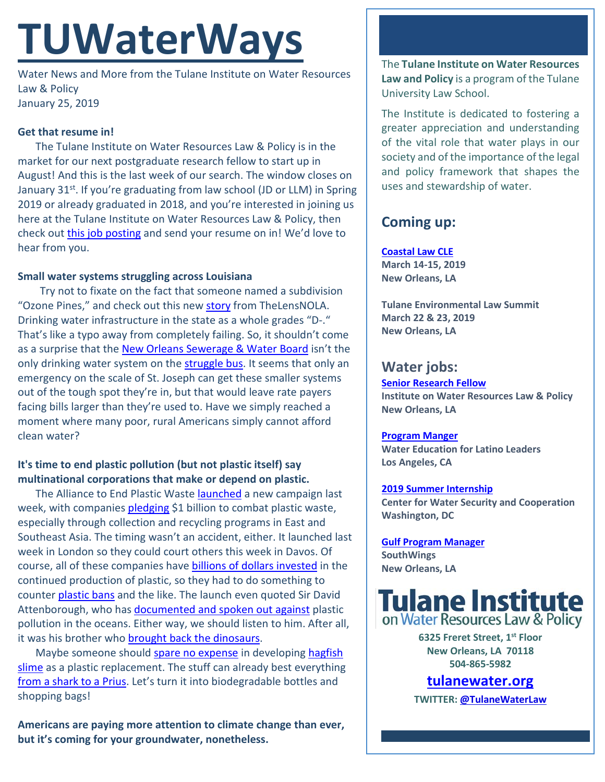# **TUWaterWays**

Water News and More from the Tulane Institute on Water Resources Law & Policy January 25, 2019

#### **Get that resume in!**

The Tulane Institute on Water Resources Law & Policy is in the market for our next postgraduate research fellow to start up in August! And this is the last week of our search. The window closes on January 31<sup>st</sup>. If you're graduating from law school (JD or LLM) in Spring 2019 or already graduated in 2018, and you're interested in joining us here at the Tulane Institute on Water Resources Law & Policy, then check out [this job posting](https://jobs.tulane.edu/position/IRC15932) and send your resume on in! We'd love to hear from you.

#### **Small water systems struggling across Louisiana**

Try not to fixate on the fact that someone named a subdivision "Ozone Pines," and check out this new [story](https://thelensnola.org/2019/01/24/tough-choices-ahead-for-louisianas-struggling-water-systems/) from TheLensNOLA. Drinking water infrastructure in the state as a whole grades "D-." That's like a typo away from completely failing. So, it shouldn't come as a surprise that the [New Orleans Sewerage & Water Board](https://www.nola.com/politics/2019/01/sewerage-water-board-investigation-details-how-sleeping-workers-missed-pressure-drop.html) isn't the only drinking water system on th[e struggle bus.](https://www.youtube.com/watch?v=Ij63mEdqXNc) It seems that only an emergency on the scale of St. Joseph can get these smaller systems out of the tough spot they're in, but that would leave rate payers facing bills larger than they're used to. Have we simply reached a moment where many poor, rural Americans simply cannot afford clean water?

### **It's time to end plastic pollution (but not plastic itself) say multinational corporations that make or depend on plastic.**

The Alliance to End Plastic Waste **launched** a new campaign last week, with companies [pledging](https://www.chron.com/business/energy/article/Industry-led-effort-commits-1-5B-to-curb-plastic-13532153.php) \$1 billion to combat plastic waste, especially through collection and recycling programs in East and Southeast Asia. The timing wasn't an accident, either. It launched last week in London so they could court others this week in Davos. Of course, all of these companies have [billions of dollars invested](https://www.theguardian.com/environment/2019/jan/21/founders-of-plastic-waste-alliance-investing-billions-in-new-plants) in the continued production of plastic, so they had to do something to counter [plastic bans](https://www.channelnewsasia.com/news/business/coca-cola--pepsi-tout-plastic-recycling-in-rare-joint-appearance-11164194) and the like. The launch even quoted Sir David Attenborough, who has [documented and spoken out against](https://www.theguardian.com/tv-and-radio/2017/sep/25/david-attenborough-on-the-scourge-of-the-oceans-i-remember-being-told-plastic-doesnt-decay-its-wonderful) plastic pollution in the oceans. Either way, we should listen to him. After all, it was his brother wh[o brought back the dinosaurs.](https://www.youtube.com/watch?v=PJlmYh27MHg)

Maybe someone shoul[d spare no expense](https://www.youtube.com/watch?v=DqM0yZK__gI) in developing [hagfish](https://www.thoughtco.com/hagfish-slime-4164617)  [slime](https://www.thoughtco.com/hagfish-slime-4164617) as a plastic replacement. The stuff can already best everything [from a shark to a Prius.](https://www.theatlantic.com/science/archive/2019/01/hagfish-slime/581002/) Let's turn it into biodegradable bottles and shopping bags!

**Americans are paying more attention to climate change than ever, but it's coming for your groundwater, nonetheless.** 

The **Tulane Institute on Water Resources Law and Policy** is a program of the Tulane University Law School.

The Institute is dedicated to fostering a greater appreciation and understanding of the vital role that water plays in our society and of the importance of the legal and policy framework that shapes the uses and stewardship of water.

## **Coming up:**

**[Coastal Law CLE](https://www.theseminargroup.net/seminardetl.aspx?id=19.shrNO)**

**March 14-15, 2019 New Orleans, LA**

**Tulane Environmental Law Summit March 22 & 23, 2019 New Orleans, LA**

## **Water jobs:**

**[Senior Research Fellow](https://jobs.tulane.edu/position/IRC15932) Institute on Water Resources Law & Policy New Orleans, LA**

#### **[Program Manger](http://latinosforwater.org/careers/)**

**Water Education for Latino Leaders Los Angeles, CA**

#### **2019 [Summer Internship](https://www.joshswaterjobs.com/jobs/12569)**

**Center for Water Security and Cooperation Washington, DC**

**[Gulf Program Manager](http://www.southwings.org/news/hiring-gulf-manager/) SouthWings New Orleans, LA**



**6325 Freret Street, 1st Floor New Orleans, LA 70118 504-865-5982** 

## **tulanewater.org**

**TWITTER[: @TulaneWaterLaw](http://www.twitter.com/TulaneWaterLaw)**